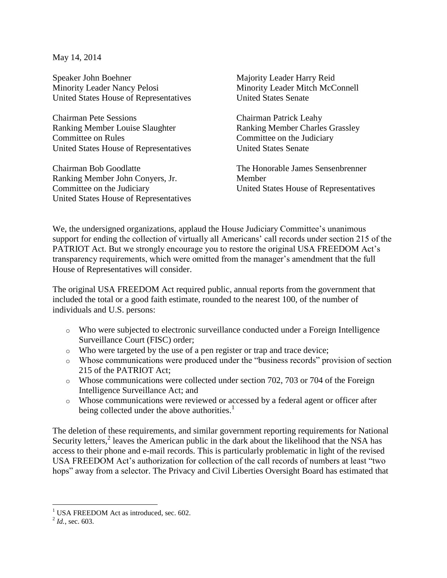May 14, 2014

Speaker John Boehner Minority Leader Nancy Pelosi United States House of Representatives

Chairman Pete Sessions Ranking Member Louise Slaughter Committee on Rules United States House of Representatives

Chairman Bob Goodlatte Ranking Member John Conyers, Jr. Committee on the Judiciary United States House of Representatives Majority Leader Harry Reid Minority Leader Mitch McConnell United States Senate

Chairman Patrick Leahy Ranking Member Charles Grassley Committee on the Judiciary United States Senate

The Honorable James Sensenbrenner Member United States House of Representatives

We, the undersigned organizations, applaud the House Judiciary Committee's unanimous support for ending the collection of virtually all Americans' call records under section 215 of the PATRIOT Act. But we strongly encourage you to restore the original USA FREEDOM Act's transparency requirements, which were omitted from the manager's amendment that the full House of Representatives will consider.

The original USA FREEDOM Act required public, annual reports from the government that included the total or a good faith estimate, rounded to the nearest 100, of the number of individuals and U.S. persons:

- o Who were subjected to electronic surveillance conducted under a Foreign Intelligence Surveillance Court (FISC) order;
- o Who were targeted by the use of a pen register or trap and trace device;
- o Whose communications were produced under the "business records" provision of section 215 of the PATRIOT Act;
- o Whose communications were collected under section 702, 703 or 704 of the Foreign Intelligence Surveillance Act; and
- o Whose communications were reviewed or accessed by a federal agent or officer after being collected under the above authorities.<sup>1</sup>

The deletion of these requirements, and similar government reporting requirements for National Security letters,<sup>2</sup> leaves the American public in the dark about the likelihood that the NSA has access to their phone and e-mail records. This is particularly problematic in light of the revised USA FREEDOM Act's authorization for collection of the call records of numbers at least "two hops" away from a selector. The Privacy and Civil Liberties Oversight Board has estimated that

 $\overline{\phantom{a}}$ 

 $1$  USA FREEDOM Act as introduced, sec. 602.

 $^{2}$  *Id.*, sec. 603.